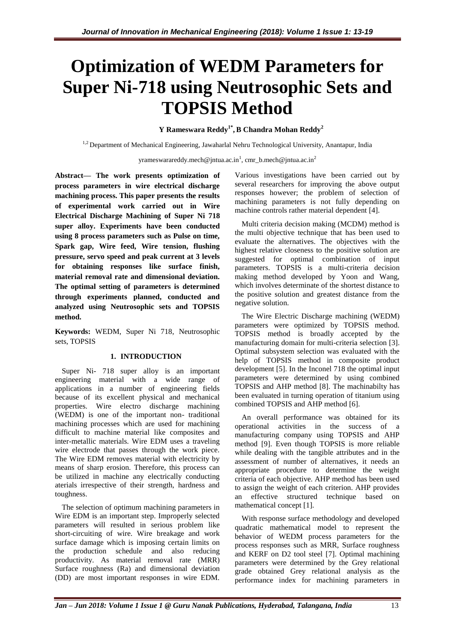# **Optimization of WEDM Parameters for Super Ni-718 using Neutrosophic Sets and TOPSIS Method**

# **Y Rameswara Reddy1\* , B Chandra Mohan Reddy<sup>2</sup>**

<sup>1,2</sup> Department of Mechanical Engineering, Jawaharlal Nehru Technological University, Anantapur, India

yrameswarareddy.mech@jntua.ac.in<sup>1</sup>, cmr\_b.mech@jntua.ac.in<sup>2</sup>

**Abstract— The work presents optimization of process parameters in wire electrical discharge machining process. This paper presents the results of experimental work carried out in Wire Electrical Discharge Machining of Super Ni 718 super alloy. Experiments have been conducted using 8 process parameters such as Pulse on time, Spark gap, Wire feed, Wire tension, flushing pressure, servo speed and peak current at 3 levels for obtaining responses like surface finish, material removal rate and dimensional deviation. The optimal setting of parameters is determined through experiments planned, conducted and analyzed using Neutrosophic sets and TOPSIS method.**

**Keywords:** WEDM, Super Ni 718, Neutrosophic sets, TOPSIS

# **1. INTRODUCTION**

Super Ni- 718 super alloy is an important engineering material with a wide range of applications in a number of engineering fields because of its excellent physical and mechanical properties. Wire electro discharge machining (WEDM) is one of the important non- traditional machining processes which are used for machining difficult to machine material like composites and inter-metallic materials. Wire EDM uses a traveling wire electrode that passes through the work piece. The Wire EDM removes material with electricity by means of sharp erosion. Therefore, this process can be utilized in machine any electrically conducting aterials irrespective of their strength, hardness and toughness.

The selection of optimum machining parameters in Wire EDM is an important step. Improperly selected parameters will resulted in serious problem like short-circuiting of wire. Wire breakage and work surface damage which is imposing certain limits on the production schedule and also reducing productivity. As material removal rate (MRR) Surface roughness (Ra) and dimensional deviation (DD) are most important responses in wire EDM.

Various investigations have been carried out by several researchers for improving the above output responses however; the problem of selection of machining parameters is not fully depending on machine controls rather material dependent [4].

Multi criteria decision making (MCDM) method is the multi objective technique that has been used to evaluate the alternatives. The objectives with the highest relative closeness to the positive solution are suggested for optimal combination of input parameters. TOPSIS is a multi-criteria decision making method developed by Yoon and Wang, which involves determinate of the shortest distance to the positive solution and greatest distance from the negative solution.

The Wire Electric Discharge machining (WEDM) parameters were optimized by TOPSIS method. TOPSIS method is broadly accepted by the manufacturing domain for multi-criteria selection [3]. Optimal subsystem selection was evaluated with the help of TOPSIS method in composite product development [5]. In the Inconel 718 the optimal input parameters were determined by using combined TOPSIS and AHP method [8]. The machinabilty has been evaluated in turning operation of titanium using combined TOPSIS and AHP method [6].

An overall performance was obtained for its operational activities in the success of a manufacturing company using TOPSIS and AHP method [9]. Even though TOPSIS is more reliable while dealing with the tangible attributes and in the assessment of number of alternatives, it needs an appropriate procedure to determine the weight criteria of each objective. AHP method has been used to assign the weight of each criterion. AHP provides an effective structured technique based on mathematical concept [1].

With response surface methodology and developed quadratic mathematical model to represent the behavior of WEDM process parameters for the process responses such as MRR, Surface roughness and KERF on D2 tool steel [7]. Optimal machining parameters were determined by the Grey relational grade obtained Grey relational analysis as the performance index for machining parameters in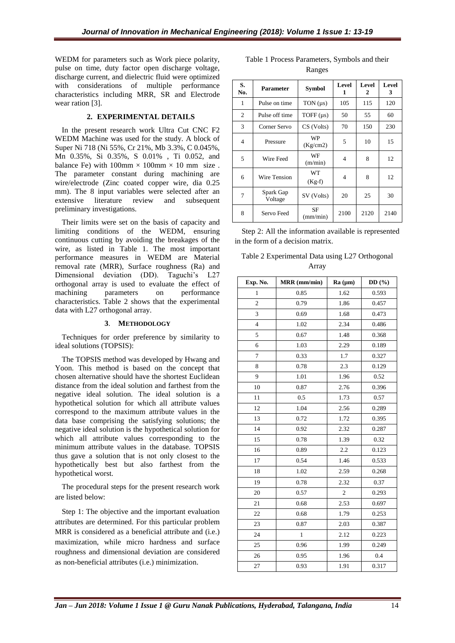WEDM for parameters such as Work piece polarity, pulse on time, duty factor open discharge voltage, discharge current, and dielectric fluid were optimized with considerations of multiple performance characteristics including MRR, SR and Electrode wear ration [3].

# **2. EXPERIMENTAL DETAILS**

In the present research work Ultra Cut CNC F2 WEDM Machine was used for the study. A block of Super Ni 718 (Ni 55%, Cr 21%, Mb 3.3%, C 0.045%, Mn 0.35%, Si 0.35%, S 0.01% , Ti 0.052, and balance Fe) with  $100 \text{mm} \times 100 \text{mm} \times 10 \text{ mm}$  size. The parameter constant during machining are wire/electrode (Zinc coated copper wire, dia 0.25 mm). The 8 input variables were selected after an extensive literature review and subsequent preliminary investigations.

Their limits were set on the basis of capacity and limiting conditions of the WEDM, ensuring continuous cutting by avoiding the breakages of the wire, as listed in Table 1. The most important performance measures in WEDM are Material removal rate (MRR), Surface roughness (Ra) and Dimensional deviation (DD). Taguchi's L27 orthogonal array is used to evaluate the effect of machining parameters on performance characteristics. Table 2 shows that the experimental data with L27 orthogonal array.

# **3**. **METHODOLOGY**

Techniques for order preference by similarity to ideal solutions (TOPSIS):

The TOPSIS method was developed by Hwang and Yoon. This method is based on the concept that chosen alternative should have the shortest Euclidean distance from the ideal solution and farthest from the negative ideal solution. The ideal solution is a hypothetical solution for which all attribute values correspond to the maximum attribute values in the data base comprising the satisfying solutions; the negative ideal solution is the hypothetical solution for which all attribute values corresponding to the minimum attribute values in the database. TOPSIS thus gave a solution that is not only closest to the hypothetically best but also farthest from the hypothetical worst.

The procedural steps for the present research work are listed below:

Step 1: The objective and the important evaluation attributes are determined. For this particular problem MRR is considered as a beneficial attribute and (i.e.) maximization, while micro hardness and surface roughness and dimensional deviation are considered as non-beneficial attributes (i.e.) minimization.

| Table 1 Process Parameters, Symbols and their |  |
|-----------------------------------------------|--|
| Ranges                                        |  |

| S.<br>No.      | <b>Parameter</b>     | <b>Symbol</b>  | <b>Level</b><br>1 | Level<br>2 | <b>Level</b><br>3 |
|----------------|----------------------|----------------|-------------------|------------|-------------------|
| 1              | Pulse on time        | TON $(\mu s)$  | 105               | 115        | 120               |
| $\overline{2}$ | Pulse off time       | TOFF $(\mu s)$ | 50                | 55         | 60                |
| 3              | Corner Servo         | CS (Volts)     | 70                | 150        | 230               |
| 4              | Pressure             | WP<br>(Kg/cm2) | 5                 | 10         | 15                |
| 5              | Wire Feed            | WF<br>(m/min)  | 4                 | 8          | 12                |
| 6              | <b>Wire Tension</b>  | WТ<br>$(Kg-f)$ | 4                 | 8          | 12                |
| 7              | Spark Gap<br>Voltage | SV (Volts)     | 20                | 25         | 30                |
| 8              | Servo Feed           | SF<br>(mm/min) | 2100              | 2120       | 2140              |

Step 2: All the information available is represented in the form of a decision matrix.

Table 2 Experimental Data using L27 Orthogonal Array

| Exp. No.       | <b>MRR</b> (mm/min) | Ra (µm)        | DD(%) |
|----------------|---------------------|----------------|-------|
| $\mathbf{1}$   | 0.85                | 1.62           | 0.593 |
| $\overline{c}$ | 0.79                | 1.86           | 0.457 |
| 3              | 0.69                | 1.68           | 0.473 |
| $\overline{4}$ | 1.02                | 2.34           | 0.486 |
| 5              | 0.67                | 1.48           | 0.368 |
| 6              | 1.03                | 2.29           | 0.189 |
| $\overline{7}$ | 0.33                | 1.7            | 0.327 |
| 8              | 0.78                | 2.3            | 0.129 |
| 9              | 1.01                | 1.96           | 0.52  |
| 10             | 0.87                | 2.76           | 0.396 |
| 11             | 0.5                 | 1.73           | 0.57  |
| 12             | 1.04                | 2.56           | 0.289 |
| 13             | 0.72                | 1.72           | 0.395 |
| 14             | 0.92                | 2.32           | 0.287 |
| 15             | 0.78                | 1.39           | 0.32  |
| 16             | 0.89                | 2.2            | 0.123 |
| 17             | 0.54                | 1.46           | 0.533 |
| 18             | 1.02                | 2.59           | 0.268 |
| 19             | 0.78                | 2.32           | 0.37  |
| 20             | 0.57                | $\mathfrak{2}$ | 0.293 |
| 21             | 0.68                | 2.53           | 0.697 |
| 22             | 0.68                | 1.79           | 0.253 |
| 23             | 0.87                | 2.03           | 0.387 |
| 24             | $\mathbf{1}$        | 2.12           | 0.223 |
| 25             | 0.96                | 1.99           | 0.249 |
| 26             | 0.95                | 1.96           | 0.4   |
| 27             | 0.93                | 1.91           | 0.317 |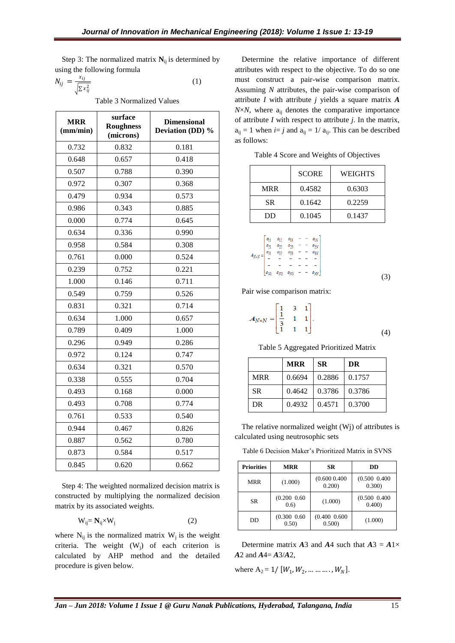Step 3: The normalized matrix  $N_{ii}$  is determined by using the following formula

$$
N_{ij} = \frac{x_{ij}}{\sqrt{\sum x_{ij}^2}}\tag{1}
$$

Table 3 Normalized Values

| <b>MRR</b><br>(mm/min) | surface<br><b>Roughness</b><br>(microns) | <b>Dimensional</b><br>Deviation (DD) % |
|------------------------|------------------------------------------|----------------------------------------|
| 0.732                  | 0.832                                    | 0.181                                  |
| 0.648                  | 0.657                                    | 0.418                                  |
| 0.507                  | 0.788                                    | 0.390                                  |
| 0.972                  | 0.307                                    | 0.368                                  |
| 0.479                  | 0.934                                    | 0.573                                  |
| 0.986                  | 0.343                                    | 0.885                                  |
| 0.000                  | 0.774                                    | 0.645                                  |
| 0.634                  | 0.336                                    | 0.990                                  |
| 0.958                  | 0.584                                    | 0.308                                  |
| 0.761                  | 0.000                                    | 0.524                                  |
| 0.239                  | 0.752                                    | 0.221                                  |
| 1.000                  | 0.146                                    | 0.711                                  |
| 0.549                  | 0.759                                    | 0.526                                  |
| 0.831                  | 0.321                                    | 0.714                                  |
| 0.634                  | 1.000                                    | 0.657                                  |
| 0.789                  | 0.409                                    | 1.000                                  |
| 0.296                  | 0.949                                    | 0.286                                  |
| 0.972                  | 0.124                                    | 0.747                                  |
| 0.634                  | 0.321                                    | 0.570                                  |
| 0.338                  | 0.555                                    | 0.704                                  |
| 0.493                  | 0.168                                    | 0.000                                  |
| 0.493                  | 0.708                                    | 0.774                                  |
| 0.761                  | 0.533                                    | 0.540                                  |
| 0.944                  | 0.467                                    | 0.826                                  |
| 0.887                  | 0.562                                    | 0.780                                  |
| 0.873                  | 0.584                                    | 0.517                                  |
| 0.845                  | 0.620                                    | 0.662                                  |

Step 4: The weighted normalized decision matrix is constructed by multiplying the normalized decision matrix by its associated weights.

$$
W_{ij} = N_{ij} \times W_j \tag{2}
$$

where  $N_{ij}$  is the normalized matrix  $W_j$  is the weight criteria. The weight  $(W_i)$  of each criterion is calculated by AHP method and the detailed procedure is given below.

Determine the relative importance of different attributes with respect to the objective. To do so one must construct a pair-wise comparison matrix. Assuming *N* attributes, the pair-wise comparison of attribute *I* with attribute *j* yields a square matrix *A*   $N \times N$ , where  $a_{ii}$  denotes the comparative importance of attribute *I* with respect to attribute *j*. In the matrix,  $a_{ii} = 1$  when  $i = j$  and  $a_{ii} = 1/a_{ii}$ . This can be described as follows:

 $\overline{\phantom{a}}$ 

Table 4 Score and Weights of Objectives

|     | <b>SCORE</b> | WEIGHTS |
|-----|--------------|---------|
| MRR | 0.4582       | 0.6303  |
| SR. | 0.1642       | 0.2259  |
| DD  | 0.1045       | 0.1437  |

$$
A_{N_NN} = \begin{bmatrix} a_{11} & a_{12} & a_{13} & - & - & a_{1N} \\ a_{21} & a_{22} & a_{23} & - & - & a_{2N} \\ a_{31} & a_{32} & a_{33} & - & - & a_{3N} \\ - & - & - & - & - & - \\ - & - & - & - & - & - \\ a_{N1} & a_{N2} & a_{N3} & - & - & a_{NN} \end{bmatrix}.
$$
 (3)

Pair wise comparison matrix:

$$
A_{N \times N} = \begin{bmatrix} 1 & 3 & 1 \\ \frac{1}{3} & 1 & 1 \\ 1 & 1 & 1 \end{bmatrix}.
$$

|  | Table 5 Aggregated Prioritized Matrix |  |
|--|---------------------------------------|--|
|  |                                       |  |

|            | <b>MRR</b> | <b>SR</b> | DR     |
|------------|------------|-----------|--------|
| <b>MRR</b> | 0.6694     | 0.2886    | 0.1757 |
| <b>SR</b>  | 0.4642     | 0.3786    | 0.3786 |
| DR         | 0.4932     | 0.4571    | 0.3700 |

The relative normalized weight (Wj) of attributes is calculated using neutrosophic sets

Table 6 Decision Maker's Prioritized Matrix in SVNS

| <b>Priorities</b> | <b>MRR</b>               | SR                       | DD                         |
|-------------------|--------------------------|--------------------------|----------------------------|
| MRR               | (1.000)                  | $(0.600\ 0.400$<br>0.200 | $(0.500 \ 0.400$<br>0.300) |
| <b>SR</b>         | $(0.200\ 0.60)$<br>(0.6) | (1.000)                  | $(0.500 \ 0.400$<br>0.400  |
| DD                | $(0.300\ 0.60)$<br>0.50) | $(0.400\ 0.600$<br>0.500 | (1.000)                    |

Determine matrix  $\vec{A}$ 3 and  $\vec{A}$ 4 such that  $\vec{A}$ 3 =  $\vec{A}$ 1× *A*2 and *A*4= *A*3/*A*2,

where  $A_2 = 1 / [W_1, W_2, \dots \dots \dots, W_N]$ .

(4)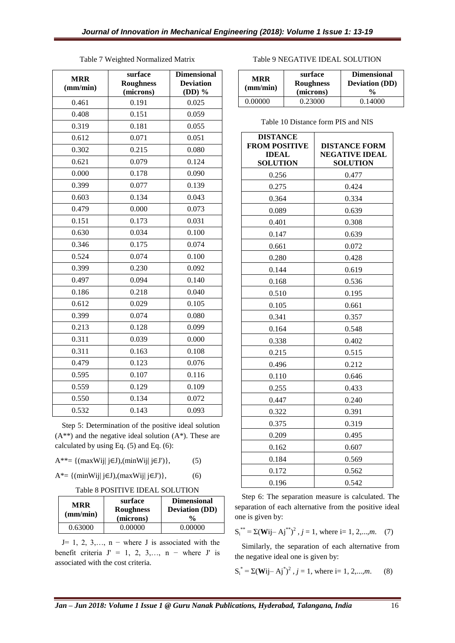| <b>MRR</b><br>(mm/min) | surface<br><b>Roughness</b><br>(microns) | <b>Dimensional</b><br><b>Deviation</b><br>$(DD)$ % |
|------------------------|------------------------------------------|----------------------------------------------------|
| 0.461                  | 0.191                                    | 0.025                                              |
| 0.408                  | 0.151                                    | 0.059                                              |
| 0.319                  | 0.181                                    | 0.055                                              |
| 0.612                  | 0.071                                    | 0.051                                              |
| 0.302                  | 0.215                                    | 0.080                                              |
| 0.621                  | 0.079                                    | 0.124                                              |
| 0.000                  | 0.178                                    | 0.090                                              |
| 0.399                  | 0.077                                    | 0.139                                              |
| 0.603                  | 0.134                                    | 0.043                                              |
| 0.479                  | 0.000                                    | 0.073                                              |
| 0.151                  | 0.173                                    | 0.031                                              |
| 0.630                  | 0.034                                    | 0.100                                              |
| 0.346                  | 0.175                                    | 0.074                                              |
| 0.524                  | 0.074                                    | 0.100                                              |
| 0.399                  | 0.230                                    | 0.092                                              |
| 0.497                  | 0.094                                    | 0.140                                              |
| 0.186                  | 0.218                                    | 0.040                                              |
| 0.612                  | 0.029                                    | 0.105                                              |
| 0.399                  | 0.074                                    | 0.080                                              |
| 0.213                  | 0.128                                    | 0.099                                              |
| 0.311                  | 0.039                                    | 0.000                                              |
| 0.311                  | 0.163                                    | 0.108                                              |
| 0.479                  | 0.123                                    | 0.076                                              |
| 0.595                  | 0.107                                    | 0.116                                              |
| 0.559                  | 0.129                                    | 0.109                                              |
| 0.550                  | 0.134                                    | 0.072                                              |
| 0.532                  | 0.143                                    | 0.093                                              |

Table 7 Weighted Normalized Matrix

# Step 5: Determination of the positive ideal solution  $(A^{**})$  and the negative ideal solution  $(A^*)$ . These are calculated by using Eq. (5) and Eq. (6):

|  | $A^{**} = \{ (maxWij   j \in J), (minWij   j \in J') \},\$ | (5) |
|--|------------------------------------------------------------|-----|
|  |                                                            |     |

|  |  |  | $A^* = \{(\text{minWij}   j \in J), (\text{maxWij}   j \in J')\},\$ | (6) |
|--|--|--|---------------------------------------------------------------------|-----|
|--|--|--|---------------------------------------------------------------------|-----|

### Table 8 POSITIVE IDEAL SOLUTION

| <b>MRR</b><br>(mm/min) | surface<br><b>Roughness</b><br>(microns) | <b>Dimensional</b><br><b>Deviation (DD)</b><br>$\frac{0}{0}$ |
|------------------------|------------------------------------------|--------------------------------------------------------------|
| 0.63000                | 0.00000                                  | 0.00000                                                      |

J= 1, 2, 3,...,  $n -$  where J is associated with the benefit criteria  $J' = 1, 2, 3, \dots, n -$  where  $J'$  is associated with the cost criteria.

# Table 9 NEGATIVE IDEAL SOLUTION

| MRR<br>(mm/min) | surface<br><b>Roughness</b><br>(microns) | <b>Dimensional</b><br><b>Deviation (DD)</b><br>$\frac{0}{0}$ |  |  |  |
|-----------------|------------------------------------------|--------------------------------------------------------------|--|--|--|
| 0.00000         | 0.23000                                  | 0.14000                                                      |  |  |  |

| Table 10 Distance form PIS and NIS |  |  |  |  |
|------------------------------------|--|--|--|--|
|------------------------------------|--|--|--|--|

| <b>DISTANCE</b><br><b>FROM POSITIVE</b><br><b>IDEAL</b><br><b>SOLUTION</b> | <b>DISTANCE FORM</b><br><b>NEGATIVE IDEAL</b><br><b>SOLUTION</b> |
|----------------------------------------------------------------------------|------------------------------------------------------------------|
| 0.256                                                                      | 0.477                                                            |
| 0.275                                                                      | 0.424                                                            |
| 0.364                                                                      | 0.334                                                            |
| 0.089                                                                      | 0.639                                                            |
| 0.401                                                                      | 0.308                                                            |
| 0.147                                                                      | 0.639                                                            |
| 0.661                                                                      | 0.072                                                            |
| 0.280                                                                      | 0.428                                                            |
| 0.144                                                                      | 0.619                                                            |
| 0.168                                                                      | 0.536                                                            |
| 0.510                                                                      | 0.195                                                            |
| 0.105                                                                      | 0.661                                                            |
| 0.341                                                                      | 0.357                                                            |
| 0.164                                                                      | 0.548                                                            |
| 0.338                                                                      | 0.402                                                            |
| 0.215                                                                      | 0.515                                                            |
| 0.496                                                                      | 0.212                                                            |
| 0.110                                                                      | 0.646                                                            |
| 0.255                                                                      | 0.433                                                            |
| 0.447                                                                      | 0.240                                                            |
| 0.322                                                                      | 0.391                                                            |
| 0.375                                                                      | 0.319                                                            |
| 0.209                                                                      | 0.495                                                            |
| 0.162                                                                      | 0.607                                                            |
| 0.184                                                                      | 0.569                                                            |
| 0.172                                                                      | 0.562                                                            |
| 0.196                                                                      | 0.542                                                            |

Step 6: The separation measure is calculated. The separation of each alternative from the positive ideal one is given by:

$$
S_i^{**} = \Sigma(Wij - Aj^{**})^2
$$
,  $j = 1$ , where i = 1, 2,...,*m*. (7)

Similarly, the separation of each alternative from the negative ideal one is given by:

$$
S_i^* = \Sigma(Wij - Aj^*)^2
$$
,  $j = 1$ , where i= 1, 2,...,*m*. (8)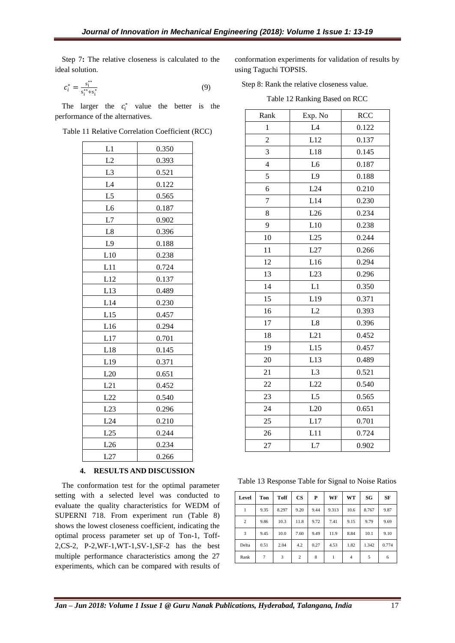Step 7**:** The relative closeness is calculated to the ideal solution.

$$
c_i^* = \frac{s_i^{**}}{s_i^{**} + s_i^*}
$$
 (9)

The larger the  $c_i^*$  value the better is the performance of the alternatives.

Table 11 Relative Correlation Coefficient (RCC)

| L1             | 0.350 |
|----------------|-------|
| L2             | 0.393 |
| L <sub>3</sub> | 0.521 |
| L4             | 0.122 |
| L5             | 0.565 |
| L <sub>6</sub> | 0.187 |
| L7             | 0.902 |
| L8             | 0.396 |
| L9             | 0.188 |
| L10            | 0.238 |
| L11            | 0.724 |
| L12            | 0.137 |
| L13            | 0.489 |
| L14            | 0.230 |
| L15            | 0.457 |
| L16            | 0.294 |
| L17            | 0.701 |
| L18            | 0.145 |
| L19            | 0.371 |
| L20            | 0.651 |
| L21            | 0.452 |
| L22            | 0.540 |
| L23            | 0.296 |
| L24            | 0.210 |
| L25            | 0.244 |
| L26            | 0.234 |
| L27            | 0.266 |

# **4. RESULTS AND DISCUSSION**

The conformation test for the optimal parameter setting with a selected level was conducted to evaluate the quality characteristics for WEDM of SUPERNI 718. From experiment run (Table 8) shows the lowest closeness coefficient, indicating the optimal process parameter set up of Ton-1, Toff-2,CS-2, P-2,WF-1,WT-1,SV-1,SF-2 has the best multiple performance characteristics among the 27 experiments, which can be compared with results of

conformation experiments for validation of results by using Taguchi TOPSIS.

Step 8: Rank the relative closeness value.

Table 12 Ranking Based on RCC

| Rank                     | Exp. No        | <b>RCC</b> |
|--------------------------|----------------|------------|
| $\mathbf{1}$             | $\mathsf{L}4$  | 0.122      |
| $\overline{c}$           | L12            | 0.137      |
| 3                        | L18            | 0.145      |
| $\overline{\mathcal{L}}$ | L <sub>6</sub> | 0.187      |
| 5                        | L9             | 0.188      |
| 6                        | L24            | 0.210      |
| $\overline{7}$           | L14            | 0.230      |
| 8                        | L26            | 0.234      |
| 9                        | L10            | 0.238      |
| 10                       | L25            | 0.244      |
| 11                       | L27            | 0.266      |
| 12                       | L16            | 0.294      |
| 13                       | L23            | 0.296      |
| 14                       | L1             | 0.350      |
| 15                       | L19            | 0.371      |
| 16                       | L2             | 0.393      |
| 17                       | $\mbox{L}8$    | 0.396      |
| 18                       | L21            | 0.452      |
| 19                       | L15            | 0.457      |
| 20                       | L13            | 0.489      |
| 21                       | L <sub>3</sub> | 0.521      |
| 22                       | L22            | 0.540      |
| 23                       | L <sub>5</sub> | 0.565      |
| 24                       | L20            | 0.651      |
| 25                       | L17            | 0.701      |
| 26                       | L11            | 0.724      |
| 27                       | L7             | 0.902      |

Table 13 Response Table for Signal to Noise Ratios

| Level        | Ton  | <b>Toff</b> | <b>CS</b>      | P    | WF    | WТ             | SG    | <b>SF</b> |
|--------------|------|-------------|----------------|------|-------|----------------|-------|-----------|
| $\mathbf{1}$ | 9.35 | 8.297       | 9.20           | 9.44 | 9.313 | 10.6           | 8.767 | 9.87      |
| 2            | 9.86 | 10.3        | 11.8           | 9.72 | 7.41  | 9.15           | 9.79  | 9.69      |
| 3            | 9.45 | 10.0        | 7.60           | 9.49 | 11.9  | 8.84           | 10.1  | 9.10      |
| Delta        | 0.51 | 2.04        | 4.2            | 0.27 | 4.53  | 1.82           | 1.342 | 0.774     |
| Rank         | 7    | 3           | $\overline{c}$ | 8    | 1     | $\overline{4}$ | 5     | 6         |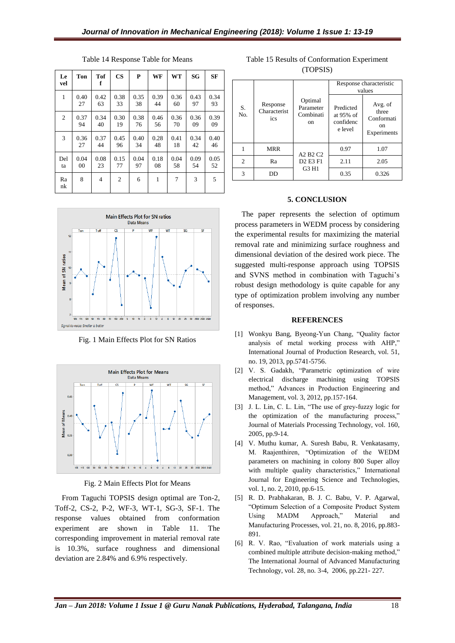| Le<br>vel      | Ton  | Tof<br>f | $\mathbf{CS}$  | P    | WF   | <b>WT</b> | SG   | SF   |
|----------------|------|----------|----------------|------|------|-----------|------|------|
| $\mathbf{1}$   | 0.40 | 0.42     | 0.38           | 0.35 | 0.39 | 0.36      | 0.43 | 0.34 |
|                | 27   | 63       | 33             | 38   | 44   | 60        | 97   | 93   |
| $\overline{2}$ | 0.37 | 0.34     | 0.30           | 0.38 | 0.46 | 0.36      | 0.36 | 0.39 |
|                | 94   | 40       | 19             | 76   | 56   | 70        | 09   | 09   |
| 3              | 0.36 | 0.37     | 0.45           | 0.40 | 0.28 | 0.41      | 0.34 | 0.40 |
|                | 27   | 44       | 96             | 34   | 48   | 18        | 42   | 46   |
| Del            | 0.04 | 0.08     | 0.15           | 0.04 | 0.18 | 0.04      | 0.09 | 0.05 |
| ta             | 00   | 23       | 77             | 97   | 08   | 58        | 54   | 52   |
| Ra<br>nk       | 8    | 4        | $\mathfrak{2}$ | 6    | 1    | 7         | 3    | 5    |

Table 14 Response Table for Means



#### S. No. Response **Characterist** ics Optimal Parameter Combinati on Response characteristic values Predicted at 95% of confidenc e level Avg. of three Conformati on Experiments 1 MRR A2 B2 C2 2 | Ra | D2 E3 F1 | 2.11 | 2.05 G3 H1 0.97 | 1.07 3 DD 0.35 0.326

# **5. CONCLUSION**

The paper represents the selection of optimum process parameters in WEDM process by considering the experimental results for maximizing the material removal rate and minimizing surface roughness and dimensional deviation of the desired work piece. The suggested multi-response approach using TOPSIS and SVNS method in combination with Taguchi's robust design methodology is quite capable for any type of optimization problem involving any number of responses.

#### **REFERENCES**

- [1] Wonkyu Bang, Byeong-Yun Chang, "Quality factor analysis of metal working process with AHP," International Journal of Production Research, vol. 51, no. 19, 2013, pp.5741-5756.
- [2] V. S. Gadakh, "Parametric optimization of wire electrical discharge machining using TOPSIS method," Advances in Production Engineering and Management, vol. 3, 2012, pp.157-164.
- [3] J. L. Lin, C. L. Lin, "The use of grey-fuzzy logic for the optimization of the manufacturing process," Journal of Materials Processing Technology, vol. 160, 2005, pp.9-14.
- [4] V. Muthu kumar, A. Suresh Babu, R. Venkatasamy, M. Raajenthiren, "Optimization of the WEDM parameters on machining in colony 800 Super alloy with multiple quality characteristics," International Journal for Engineering Science and Technologies, vol. 1, no. 2, 2010, pp.6-15.
- [5] R. D. Prabhakaran, B. J. C. Babu, V. P. Agarwal, "Optimum Selection of a Composite Product System Using MADM Approach," Material and Manufacturing Processes, vol. 21, no. 8, 2016, pp.883- 891.
- [6] R. V. Rao, "Evaluation of work materials using a combined multiple attribute decision-making method," The International Journal of Advanced Manufacturing Technology, vol. 28, no. 3-4, 2006, pp.221- 227.



Fig. 1 Main Effects Plot for SN Ratios



Fig. 2 Main Effects Plot for Means

From Taguchi TOPSIS design optimal are Ton-2, Toff-2, CS-2, P-2, WF-3, WT-1, SG-3, SF-1. The response values obtained from conformation experiment are shown in Table 11. The corresponding improvement in material removal rate is 10.3%, surface roughness and dimensional deviation are 2.84% and 6.9% respectively.